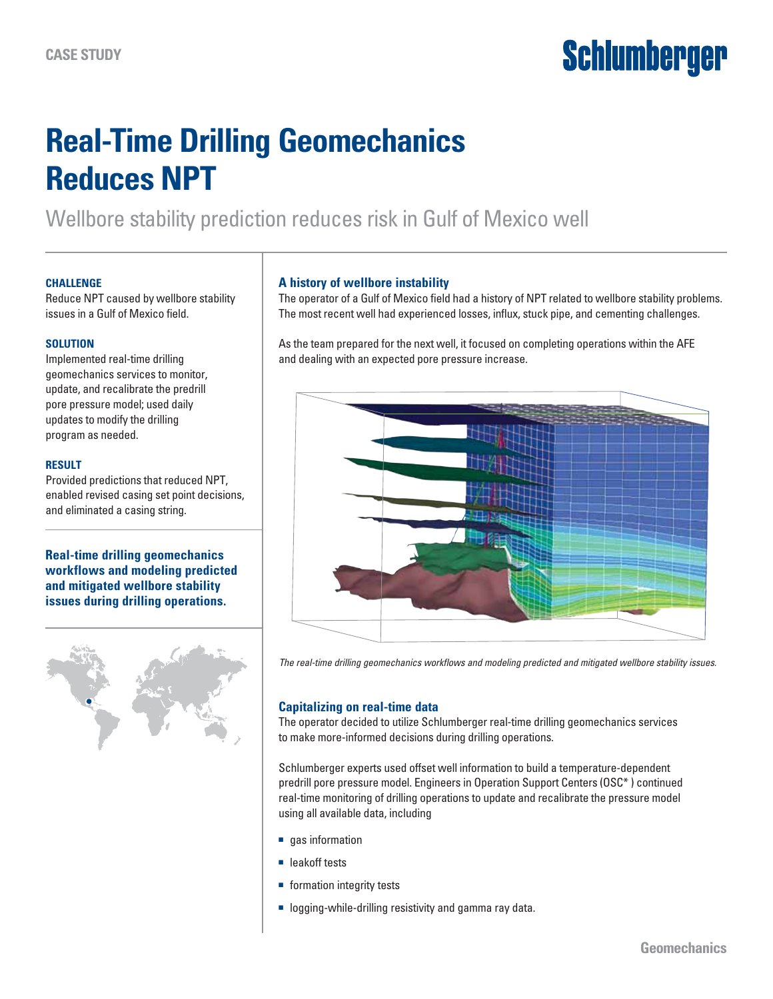# **Schlumberger**

# **Real-Time Drilling Geomechanics Reduces NPT**

Wellbore stability prediction reduces risk in Gulf of Mexico well

#### **Challenge**

Reduce NPT caused by wellbore stability issues in a Gulf of Mexico field.

#### **Solution**

Implemented real-time drilling geomechanics services to monitor, update, and recalibrate the predrill pore pressure model; used daily updates to modify the drilling program as needed.

#### **Result**

Provided predictions that reduced NPT, enabled revised casing set point decisions, and eliminated a casing string.

#### **Real-time drilling geomechanics workflows and modeling predicted and mitigated wellbore stability issues during drilling operations.**



#### **A history of wellbore instability**

The operator of a Gulf of Mexico field had a history of NPT related to wellbore stability problems. The most recent well had experienced losses, influx, stuck pipe, and cementing challenges.

As the team prepared for the next well, it focused on completing operations within the AFE and dealing with an expected pore pressure increase.



*The real-time drilling geomechanics workflows and modeling predicted and mitigated wellbore stability issues.*

## **Capitalizing on real-time data**

The operator decided to utilize Schlumberger real-time drilling geomechanics services to make more-informed decisions during drilling operations.

Schlumberger experts used offset well information to build a temperature-dependent predrill pore pressure model. Engineers in Operation Support Centers (OSC\* ) continued real-time monitoring of drilling operations to update and recalibrate the pressure model using all available data, including

- gas information
- leakoff tests
- formation integrity tests
- logging-while-drilling resistivity and gamma ray data.